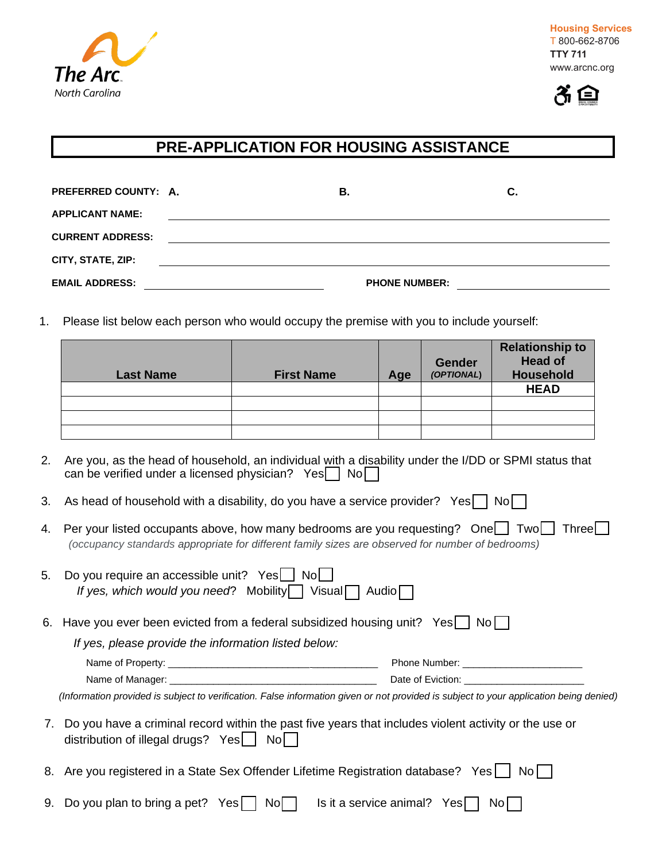



## **PRE-APPLICATION FOR HOUSING ASSISTANCE**

| PREFERRED COUNTY: A.    | В.                   | С. |
|-------------------------|----------------------|----|
| <b>APPLICANT NAME:</b>  |                      |    |
| <b>CURRENT ADDRESS:</b> |                      |    |
| CITY, STATE, ZIP:       |                      |    |
| <b>EMAIL ADDRESS:</b>   | <b>PHONE NUMBER:</b> |    |

1. Please list below each person who would occupy the premise with you to include yourself:

| <b>Last Name</b> | <b>First Name</b> | Age | <b>Gender</b><br>(OPTIONAL) | <b>Relationship to</b><br><b>Head of</b><br>Household |
|------------------|-------------------|-----|-----------------------------|-------------------------------------------------------|
|                  |                   |     |                             | <b>HEAD</b>                                           |
|                  |                   |     |                             |                                                       |
|                  |                   |     |                             |                                                       |
|                  |                   |     |                             |                                                       |

- 2. Are you, as the head of household, an individual with a disability under the I/DD or SPMI status that can be verified under a licensed physician?  $Yes \nightharpoonup No \nightharpoonup$
- 3. As head of household with a disability, do you have a service provider? Yes  $\Box$  No  $\Box$
- 4. Per your listed occupants above, how many bedrooms are you requesting? One  $\Box$  Two  $\Box$  Three  $\Box$ *(occupancy standards appropriate for different family sizes are observed for number of bedrooms)*

| 5.              | Do you require an accessible unit? Yes    <br>Nol<br>If yes, which would you need? Mobility $\bigcup$ Visual $\bigcap$                                 | Audio                               |
|-----------------|--------------------------------------------------------------------------------------------------------------------------------------------------------|-------------------------------------|
|                 | 6. Have you ever been evicted from a federal subsidized housing unit? Yes                                                                              | Noll                                |
|                 | If yes, please provide the information listed below:                                                                                                   |                                     |
|                 |                                                                                                                                                        |                                     |
|                 |                                                                                                                                                        | Date of Eviction: Date of Eviction: |
|                 | (Information provided is subject to verification. False information given or not provided is subject to your application being denied)                 |                                     |
| $\mathcal{L}$ . | Do you have a criminal record within the past five years that includes violent activity or the use or<br>distribution of illegal drugs? $Yes$<br>Nol l |                                     |
|                 | 8. Are you registered in a State Sex Offender Lifetime Registration database? Yes                                                                      | No II                               |
| 9.              | Do you plan to bring a pet? Yes<br>Nol.                                                                                                                | Is it a service animal? Yes<br>Nol  |